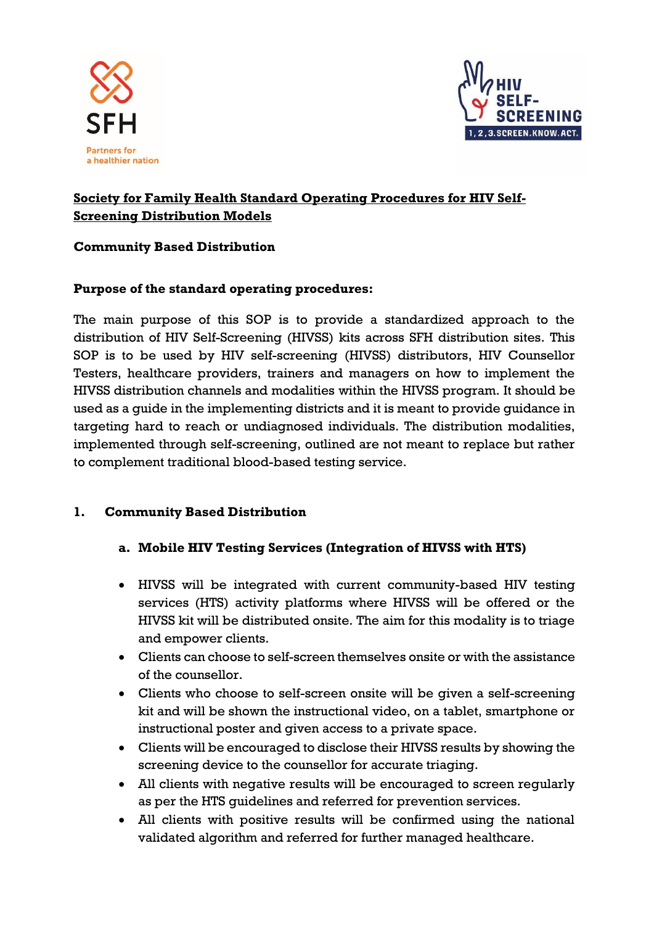



### **Society for Family Health Standard Operating Procedures for HIV Self-Screening Distribution Models**

### **Community Based Distribution**

### **Purpose of the standard operating procedures:**

The main purpose of this SOP is to provide a standardized approach to the distribution of HIV Self-Screening (HIVSS) kits across SFH distribution sites. This SOP is to be used by HIV self-screening (HIVSS) distributors, HIV Counsellor Testers, healthcare providers, trainers and managers on how to implement the HIVSS distribution channels and modalities within the HIVSS program. It should be used as a guide in the implementing districts and it is meant to provide guidance in targeting hard to reach or undiagnosed individuals. The distribution modalities, implemented through self-screening, outlined are not meant to replace but rather to complement traditional blood-based testing service.

### **1. Community Based Distribution**

### **a. Mobile HIV Testing Services (Integration of HIVSS with HTS)**

- HIVSS will be integrated with current community-based HIV testing services (HTS) activity platforms where HIVSS will be offered or the HIVSS kit will be distributed onsite. The aim for this modality is to triage and empower clients.
- Clients can choose to self-screen themselves onsite or with the assistance of the counsellor.
- Clients who choose to self-screen onsite will be given a self-screening kit and will be shown the instructional video, on a tablet, smartphone or instructional poster and given access to a private space.
- Clients will be encouraged to disclose their HIVSS results by showing the screening device to the counsellor for accurate triaging.
- All clients with negative results will be encouraged to screen regularly as per the HTS guidelines and referred for prevention services.
- All clients with positive results will be confirmed using the national validated algorithm and referred for further managed healthcare.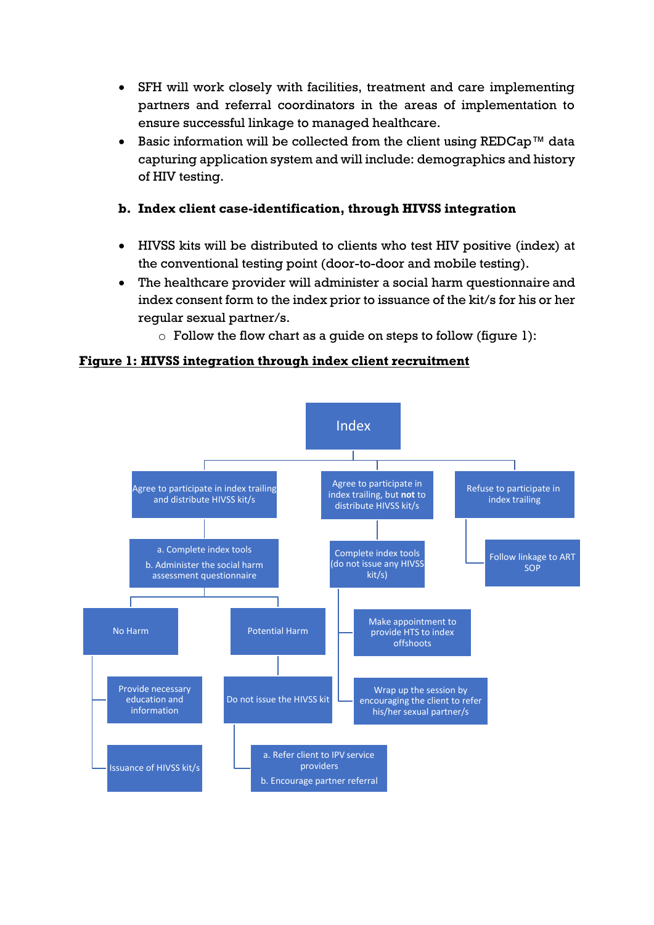- SFH will work closely with facilities, treatment and care implementing partners and referral coordinators in the areas of implementation to ensure successful linkage to managed healthcare.
- Basic information will be collected from the client using REDCap™ data capturing application system and will include: demographics and history of HIV testing.

#### **b. Index client case-identification, through HIVSS integration**

- HIVSS kits will be distributed to clients who test HIV positive (index) at the conventional testing point (door-to-door and mobile testing).
- The healthcare provider will administer a social harm questionnaire and index consent form to the index prior to issuance of the kit/s for his or her regular sexual partner/s.
	- $\circ$  Follow the flow chart as a quide on steps to follow (figure 1):

**Figure 1: HIVSS integration through index client recruitment**

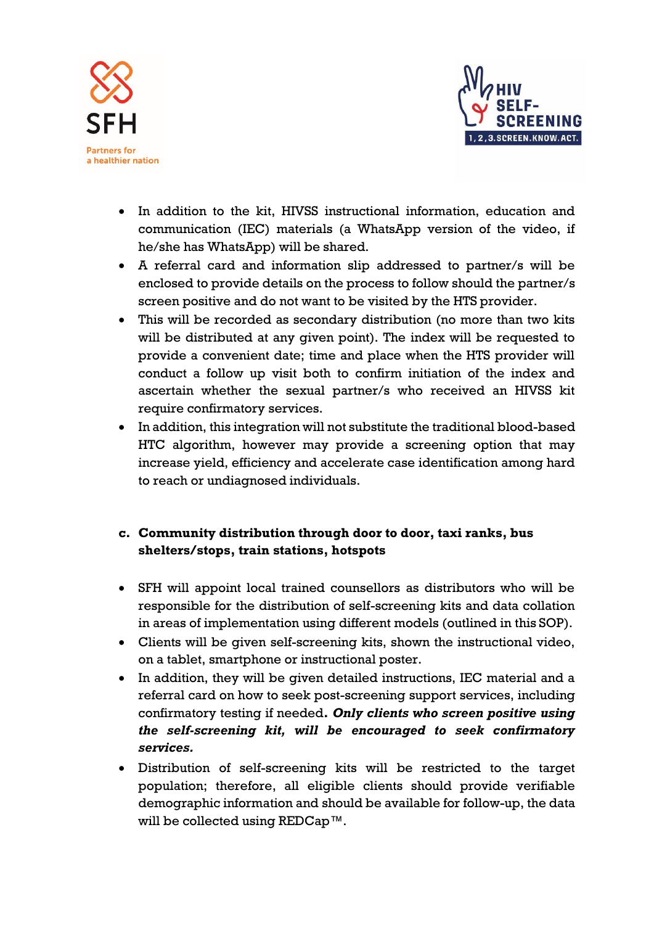



- In addition to the kit, HIVSS instructional information, education and communication (IEC) materials (a WhatsApp version of the video, if he/she has WhatsApp) will be shared.
- A referral card and information slip addressed to partner/s will be enclosed to provide details on the process to follow should the partner/s screen positive and do not want to be visited by the HTS provider.
- This will be recorded as secondary distribution (no more than two kits will be distributed at any given point). The index will be requested to provide a convenient date; time and place when the HTS provider will conduct a follow up visit both to confirm initiation of the index and ascertain whether the sexual partner/s who received an HIVSS kit require confirmatory services.
- In addition, this integration will not substitute the traditional blood-based HTC algorithm, however may provide a screening option that may increase yield, efficiency and accelerate case identification among hard to reach or undiagnosed individuals.

# **c. Community distribution through door to door, taxi ranks, bus shelters/stops, train stations, hotspots**

- SFH will appoint local trained counsellors as distributors who will be responsible for the distribution of self-screening kits and data collation in areas of implementation using different models (outlined in this SOP).
- Clients will be given self-screening kits, shown the instructional video, on a tablet, smartphone or instructional poster.
- In addition, they will be given detailed instructions, IEC material and a referral card on how to seek post-screening support services, including confirmatory testing if needed**.** *Only clients who screen positive using the self-screening kit, will be encouraged to seek confirmatory services.*
- Distribution of self-screening kits will be restricted to the target population; therefore, all eligible clients should provide verifiable demographic information and should be available for follow-up, the data will be collected using REDCap™.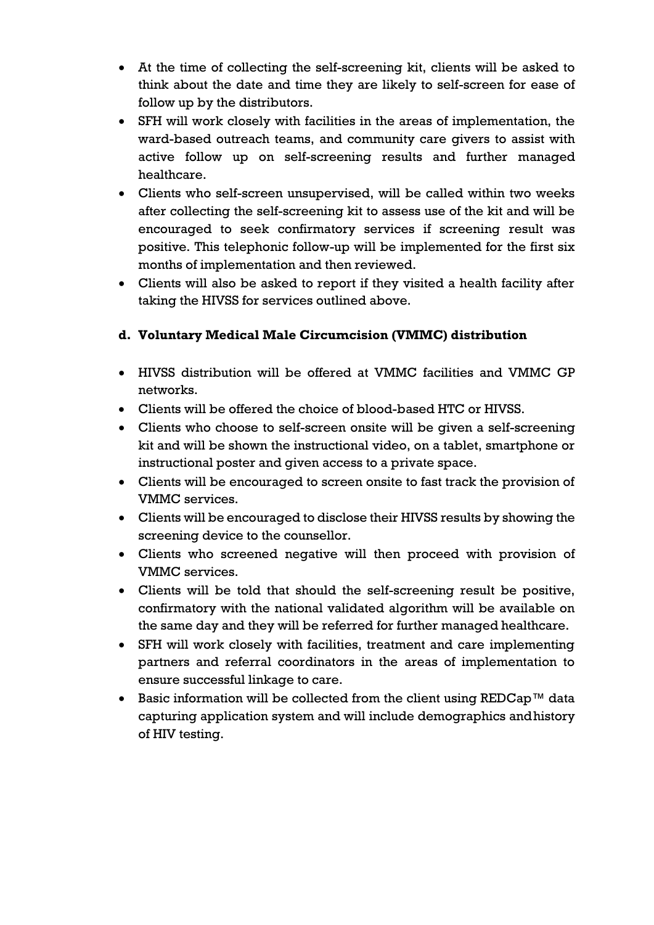- At the time of collecting the self-screening kit, clients will be asked to think about the date and time they are likely to self-screen for ease of follow up by the distributors.
- SFH will work closely with facilities in the areas of implementation, the ward-based outreach teams, and community care givers to assist with active follow up on self-screening results and further managed healthcare.
- Clients who self-screen unsupervised, will be called within two weeks after collecting the self-screening kit to assess use of the kit and will be encouraged to seek confirmatory services if screening result was positive. This telephonic follow-up will be implemented for the first six months of implementation and then reviewed.
- Clients will also be asked to report if they visited a health facility after taking the HIVSS for services outlined above.

# **d. Voluntary Medical Male Circumcision (VMMC) distribution**

- HIVSS distribution will be offered at VMMC facilities and VMMC GP networks.
- Clients will be offered the choice of blood-based HTC or HIVSS.
- Clients who choose to self-screen onsite will be given a self-screening kit and will be shown the instructional video, on a tablet, smartphone or instructional poster and given access to a private space.
- Clients will be encouraged to screen onsite to fast track the provision of VMMC services.
- Clients will be encouraged to disclose their HIVSS results by showing the screening device to the counsellor.
- Clients who screened negative will then proceed with provision of VMMC services.
- Clients will be told that should the self-screening result be positive, confirmatory with the national validated algorithm will be available on the same day and they will be referred for further managed healthcare.
- SFH will work closely with facilities, treatment and care implementing partners and referral coordinators in the areas of implementation to ensure successful linkage to care.
- Basic information will be collected from the client using REDCap™ data capturing application system and will include demographics andhistory of HIV testing.